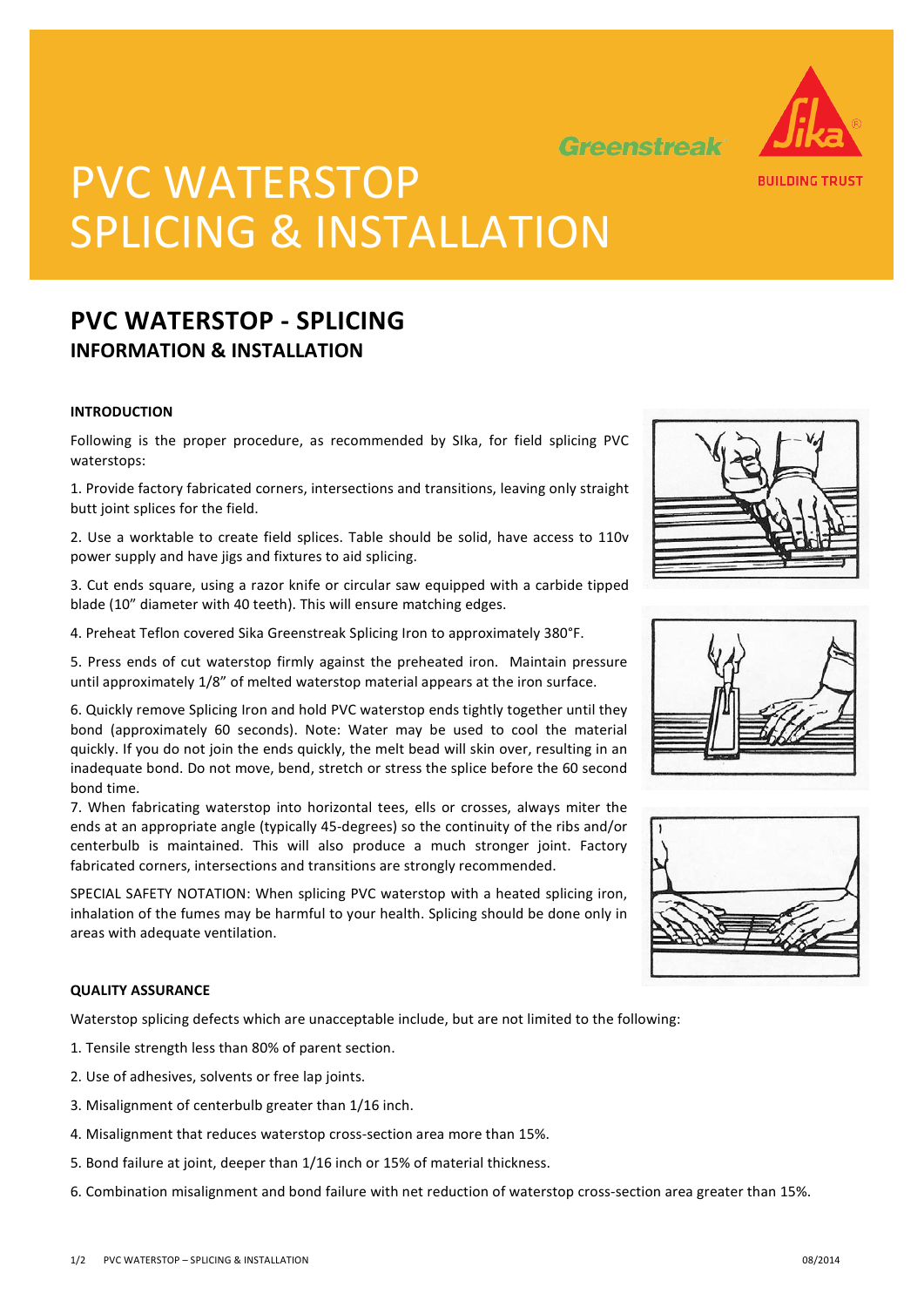

Greenstreak

# PVC WATERSTOP SPLICING & INSTALLATION

## **PVC WATERSTOP - SPLICING INFORMATION & INSTALLATION**

#### **INTRODUCTION**

Following is the proper procedure, as recommended by SIka, for field splicing PVC waterstops:

1. Provide factory fabricated corners, intersections and transitions, leaving only straight butt joint splices for the field.

2. Use a worktable to create field splices. Table should be solid, have access to 110v power supply and have jigs and fixtures to aid splicing.

3. Cut ends square, using a razor knife or circular saw equipped with a carbide tipped blade (10" diameter with 40 teeth). This will ensure matching edges.

4. Preheat Teflon covered Sika Greenstreak Splicing Iron to approximately 380°F.

5. Press ends of cut waterstop firmly against the preheated iron. Maintain pressure until approximately 1/8" of melted waterstop material appears at the iron surface.

6. Quickly remove Splicing Iron and hold PVC waterstop ends tightly together until they bond (approximately 60 seconds). Note: Water may be used to cool the material quickly. If you do not join the ends quickly, the melt bead will skin over, resulting in an inadequate bond. Do not move, bend, stretch or stress the splice before the 60 second bond time.

7. When fabricating waterstop into horizontal tees, ells or crosses, always miter the ends at an appropriate angle (typically 45-degrees) so the continuity of the ribs and/or centerbulb is maintained. This will also produce a much stronger joint. Factory fabricated corners, intersections and transitions are strongly recommended.

SPECIAL SAFETY NOTATION: When splicing PVC waterstop with a heated splicing iron, inhalation of the fumes may be harmful to your health. Splicing should be done only in areas with adequate ventilation.

#### **QUALITY ASSURANCE**

Waterstop splicing defects which are unacceptable include, but are not limited to the following:

- 1. Tensile strength less than 80% of parent section.
- 2. Use of adhesives, solvents or free lap joints.
- 3. Misalignment of centerbulb greater than 1/16 inch.
- 4. Misalignment that reduces waterstop cross-section area more than 15%.
- 5. Bond failure at joint, deeper than 1/16 inch or 15% of material thickness.
- 6. Combination misalignment and bond failure with net reduction of waterstop cross-section area greater than 15%.